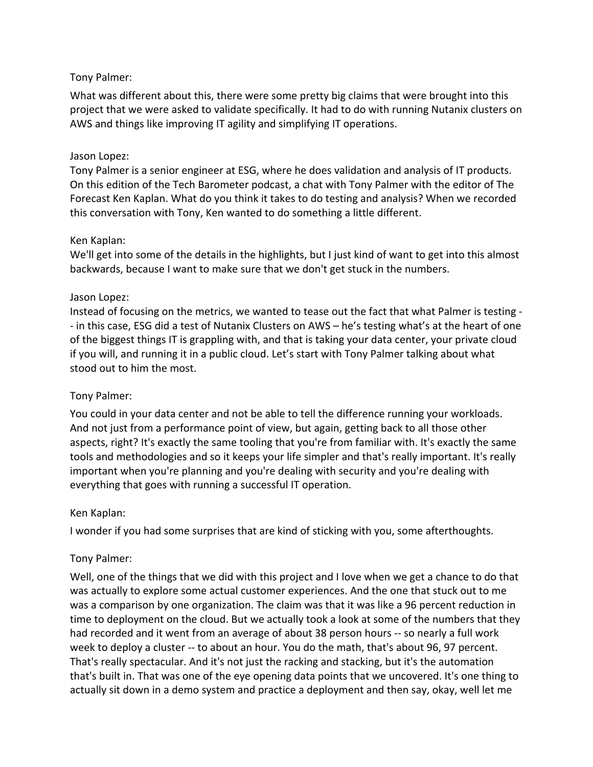#### Tony Palmer:

What was different about this, there were some pretty big claims that were brought into this project that we were asked to validate specifically. It had to do with running Nutanix clusters on AWS and things like improving IT agility and simplifying IT operations.

#### Jason Lopez:

Tony Palmer is a senior engineer at ESG, where he does validation and analysis of IT products. On this edition of the Tech Barometer podcast, a chat with Tony Palmer with the editor of The Forecast Ken Kaplan. What do you think it takes to do testing and analysis? When we recorded this conversation with Tony, Ken wanted to do something a little different.

#### Ken Kaplan:

We'll get into some of the details in the highlights, but I just kind of want to get into this almost backwards, because I want to make sure that we don't get stuck in the numbers.

#### Jason Lopez:

Instead of focusing on the metrics, we wanted to tease out the fact that what Palmer is testing - - in this case, ESG did a test of Nutanix Clusters on AWS – he's testing what's at the heart of one of the biggest things IT is grappling with, and that is taking your data center, your private cloud if you will, and running it in a public cloud. Let's start with Tony Palmer talking about what stood out to him the most.

# Tony Palmer:

You could in your data center and not be able to tell the difference running your workloads. And not just from a performance point of view, but again, getting back to all those other aspects, right? It's exactly the same tooling that you're from familiar with. It's exactly the same tools and methodologies and so it keeps your life simpler and that's really important. It's really important when you're planning and you're dealing with security and you're dealing with everything that goes with running a successful IT operation.

#### Ken Kaplan:

I wonder if you had some surprises that are kind of sticking with you, some afterthoughts.

# Tony Palmer:

Well, one of the things that we did with this project and I love when we get a chance to do that was actually to explore some actual customer experiences. And the one that stuck out to me was a comparison by one organization. The claim was that it was like a 96 percent reduction in time to deployment on the cloud. But we actually took a look at some of the numbers that they had recorded and it went from an average of about 38 person hours -- so nearly a full work week to deploy a cluster -- to about an hour. You do the math, that's about 96, 97 percent. That's really spectacular. And it's not just the racking and stacking, but it's the automation that's built in. That was one of the eye opening data points that we uncovered. It's one thing to actually sit down in a demo system and practice a deployment and then say, okay, well let me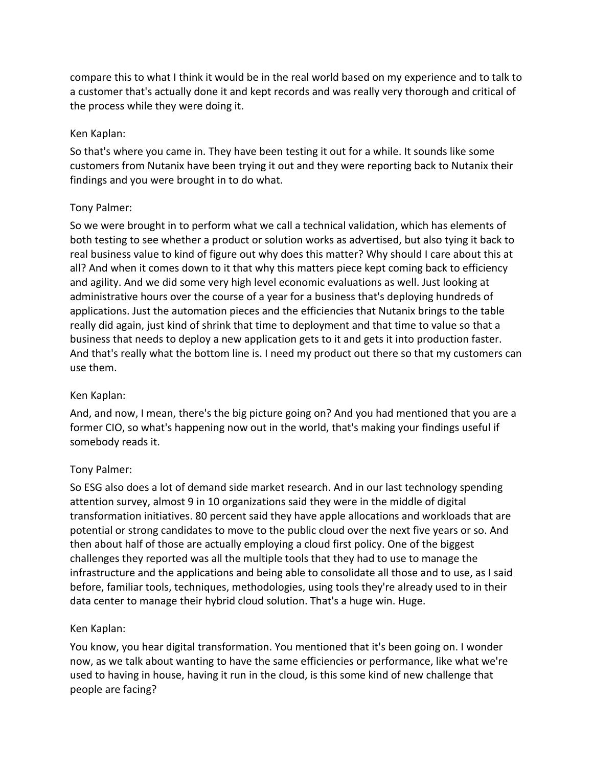compare this to what I think it would be in the real world based on my experience and to talk to a customer that's actually done it and kept records and was really very thorough and critical of the process while they were doing it.

#### Ken Kaplan:

So that's where you came in. They have been testing it out for a while. It sounds like some customers from Nutanix have been trying it out and they were reporting back to Nutanix their findings and you were brought in to do what.

# Tony Palmer:

So we were brought in to perform what we call a technical validation, which has elements of both testing to see whether a product or solution works as advertised, but also tying it back to real business value to kind of figure out why does this matter? Why should I care about this at all? And when it comes down to it that why this matters piece kept coming back to efficiency and agility. And we did some very high level economic evaluations as well. Just looking at administrative hours over the course of a year for a business that's deploying hundreds of applications. Just the automation pieces and the efficiencies that Nutanix brings to the table really did again, just kind of shrink that time to deployment and that time to value so that a business that needs to deploy a new application gets to it and gets it into production faster. And that's really what the bottom line is. I need my product out there so that my customers can use them.

# Ken Kaplan:

And, and now, I mean, there's the big picture going on? And you had mentioned that you are a former CIO, so what's happening now out in the world, that's making your findings useful if somebody reads it.

# Tony Palmer:

So ESG also does a lot of demand side market research. And in our last technology spending attention survey, almost 9 in 10 organizations said they were in the middle of digital transformation initiatives. 80 percent said they have apple allocations and workloads that are potential or strong candidates to move to the public cloud over the next five years or so. And then about half of those are actually employing a cloud first policy. One of the biggest challenges they reported was all the multiple tools that they had to use to manage the infrastructure and the applications and being able to consolidate all those and to use, as I said before, familiar tools, techniques, methodologies, using tools they're already used to in their data center to manage their hybrid cloud solution. That's a huge win. Huge.

# Ken Kaplan:

You know, you hear digital transformation. You mentioned that it's been going on. I wonder now, as we talk about wanting to have the same efficiencies or performance, like what we're used to having in house, having it run in the cloud, is this some kind of new challenge that people are facing?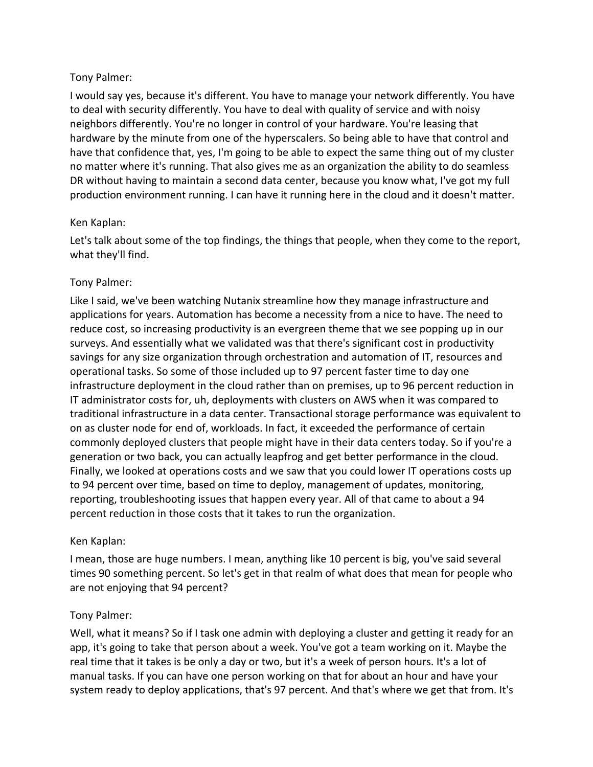#### Tony Palmer:

I would say yes, because it's different. You have to manage your network differently. You have to deal with security differently. You have to deal with quality of service and with noisy neighbors differently. You're no longer in control of your hardware. You're leasing that hardware by the minute from one of the hyperscalers. So being able to have that control and have that confidence that, yes, I'm going to be able to expect the same thing out of my cluster no matter where it's running. That also gives me as an organization the ability to do seamless DR without having to maintain a second data center, because you know what, I've got my full production environment running. I can have it running here in the cloud and it doesn't matter.

#### Ken Kaplan:

Let's talk about some of the top findings, the things that people, when they come to the report, what they'll find.

# Tony Palmer:

Like I said, we've been watching Nutanix streamline how they manage infrastructure and applications for years. Automation has become a necessity from a nice to have. The need to reduce cost, so increasing productivity is an evergreen theme that we see popping up in our surveys. And essentially what we validated was that there's significant cost in productivity savings for any size organization through orchestration and automation of IT, resources and operational tasks. So some of those included up to 97 percent faster time to day one infrastructure deployment in the cloud rather than on premises, up to 96 percent reduction in IT administrator costs for, uh, deployments with clusters on AWS when it was compared to traditional infrastructure in a data center. Transactional storage performance was equivalent to on as cluster node for end of, workloads. In fact, it exceeded the performance of certain commonly deployed clusters that people might have in their data centers today. So if you're a generation or two back, you can actually leapfrog and get better performance in the cloud. Finally, we looked at operations costs and we saw that you could lower IT operations costs up to 94 percent over time, based on time to deploy, management of updates, monitoring, reporting, troubleshooting issues that happen every year. All of that came to about a 94 percent reduction in those costs that it takes to run the organization.

# Ken Kaplan:

I mean, those are huge numbers. I mean, anything like 10 percent is big, you've said several times 90 something percent. So let's get in that realm of what does that mean for people who are not enjoying that 94 percent?

# Tony Palmer:

Well, what it means? So if I task one admin with deploying a cluster and getting it ready for an app, it's going to take that person about a week. You've got a team working on it. Maybe the real time that it takes is be only a day or two, but it's a week of person hours. It's a lot of manual tasks. If you can have one person working on that for about an hour and have your system ready to deploy applications, that's 97 percent. And that's where we get that from. It's